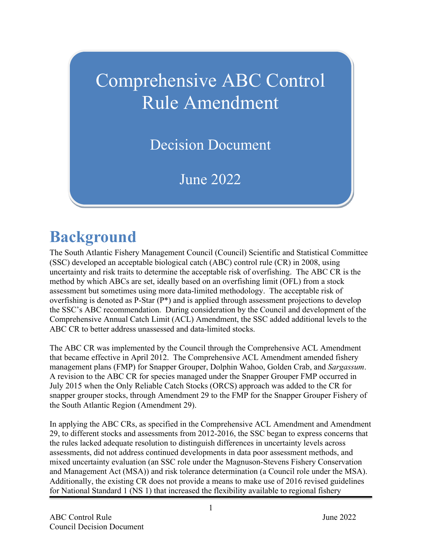# Comprehensive ABC Control Rule Amendment

Decision Document

June 2022

# **Background**

The South Atlantic Fishery Management Council (Council) Scientific and Statistical Committee (SSC) developed an acceptable biological catch (ABC) control rule (CR) in 2008, using uncertainty and risk traits to determine the acceptable risk of overfishing. The ABC CR is the method by which ABCs are set, ideally based on an overfishing limit (OFL) from a stock assessment but sometimes using more data-limited methodology. The acceptable risk of overfishing is denoted as P-Star (P\*) and is applied through assessment projections to develop the SSC's ABC recommendation. During consideration by the Council and development of the Comprehensive Annual Catch Limit (ACL) Amendment, the SSC added additional levels to the ABC CR to better address unassessed and data-limited stocks.

The ABC CR was implemented by the Council through the Comprehensive ACL Amendment that became effective in April 2012. The Comprehensive ACL Amendment amended fishery management plans (FMP) for Snapper Grouper, Dolphin Wahoo, Golden Crab, and *Sargassum*. A revision to the ABC CR for species managed under the Snapper Grouper FMP occurred in July 2015 when the Only Reliable Catch Stocks (ORCS) approach was added to the CR for snapper grouper stocks, through Amendment 29 to the FMP for the Snapper Grouper Fishery of the South Atlantic Region (Amendment 29).

In applying the ABC CRs, as specified in the Comprehensive ACL Amendment and Amendment 29, to different stocks and assessments from 2012-2016, the SSC began to express concerns that the rules lacked adequate resolution to distinguish differences in uncertainty levels across assessments, did not address continued developments in data poor assessment methods, and mixed uncertainty evaluation (an SSC role under the Magnuson-Stevens Fishery Conservation and Management Act (MSA)) and risk tolerance determination (a Council role under the MSA). Additionally, the existing CR does not provide a means to make use of 2016 revised guidelines for National Standard 1 (NS 1) that increased the flexibility available to regional fishery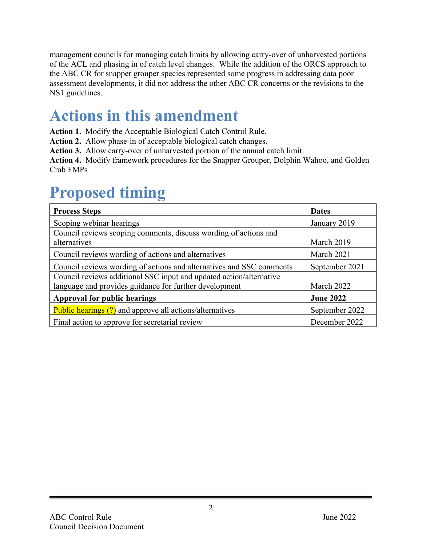management councils for managing catch limits by allowing carry-over of unharvested portions of the ACL and phasing in of catch level changes. While the addition of the ORCS approach to the ABC CR for snapper grouper species represented some progress in addressing data poor assessment developments, it did not address the other ABC CR concerns or the revisions to the NS1 guidelines.

## **Actions in this amendment**

**Action 1.** Modify the Acceptable Biological Catch Control Rule.

**Action 2.** Allow phase-in of acceptable biological catch changes.

**Action 3.** Allow carry-over of unharvested portion of the annual catch limit.

**Action 4.** Modify framework procedures for the Snapper Grouper, Dolphin Wahoo, and Golden Crab FMPs

# **Proposed timing**

| <b>Process Steps</b>                                                 | <b>Dates</b>     |
|----------------------------------------------------------------------|------------------|
| Scoping webinar hearings                                             | January 2019     |
| Council reviews scoping comments, discuss wording of actions and     |                  |
| alternatives                                                         | March 2019       |
| Council reviews wording of actions and alternatives                  | March 2021       |
| Council reviews wording of actions and alternatives and SSC comments | September 2021   |
| Council reviews additional SSC input and updated action/alternative  |                  |
| language and provides guidance for further development               | March 2022       |
| <b>Approval for public hearings</b>                                  | <b>June 2022</b> |
| <b>Public hearings (?)</b> and approve all actions/alternatives      | September 2022   |
| Final action to approve for secretarial review                       | December 2022    |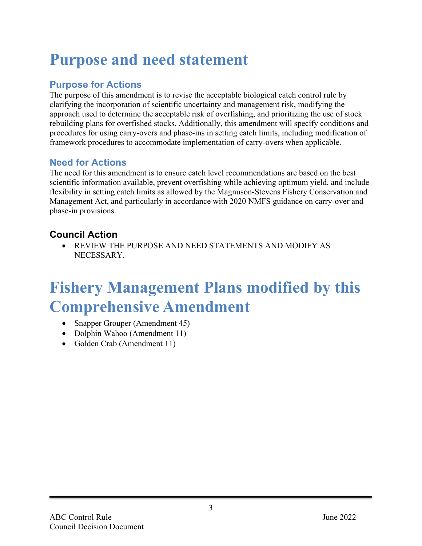## **Purpose and need statement**

## **Purpose for Actions**

The purpose of this amendment is to revise the acceptable biological catch control rule by clarifying the incorporation of scientific uncertainty and management risk, modifying the approach used to determine the acceptable risk of overfishing, and prioritizing the use of stock rebuilding plans for overfished stocks. Additionally, this amendment will specify conditions and procedures for using carry-overs and phase-ins in setting catch limits, including modification of framework procedures to accommodate implementation of carry-overs when applicable.

### **Need for Actions**

The need for this amendment is to ensure catch level recommendations are based on the best scientific information available, prevent overfishing while achieving optimum yield, and include flexibility in setting catch limits as allowed by the Magnuson-Stevens Fishery Conservation and Management Act, and particularly in accordance with 2020 NMFS guidance on carry-over and phase-in provisions.

## **Council Action**

• REVIEW THE PURPOSE AND NEED STATEMENTS AND MODIFY AS NECESSARY.

## **Fishery Management Plans modified by this Comprehensive Amendment**

- Snapper Grouper (Amendment 45)
- Dolphin Wahoo (Amendment 11)
- Golden Crab (Amendment 11)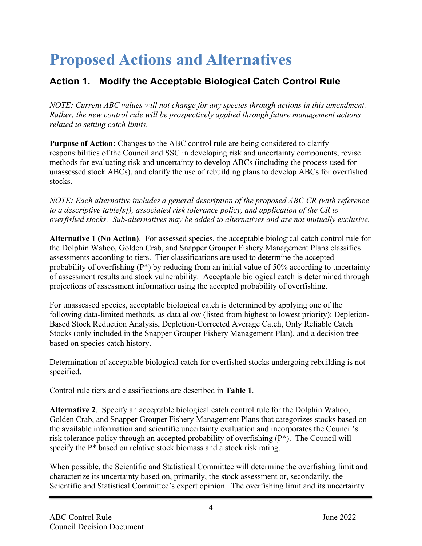# **Proposed Actions and Alternatives**

## **Action 1. Modify the Acceptable Biological Catch Control Rule**

*NOTE: Current ABC values will not change for any species through actions in this amendment. Rather, the new control rule will be prospectively applied through future management actions related to setting catch limits.* 

**Purpose of Action:** Changes to the ABC control rule are being considered to clarify responsibilities of the Council and SSC in developing risk and uncertainty components, revise methods for evaluating risk and uncertainty to develop ABCs (including the process used for unassessed stock ABCs), and clarify the use of rebuilding plans to develop ABCs for overfished stocks.

*NOTE: Each alternative includes a general description of the proposed ABC CR (with reference to a descriptive table[s]), associated risk tolerance policy, and application of the CR to overfished stocks. Sub-alternatives may be added to alternatives and are not mutually exclusive.* 

**Alternative 1 (No Action)**. For assessed species, the acceptable biological catch control rule for the Dolphin Wahoo, Golden Crab, and Snapper Grouper Fishery Management Plans classifies assessments according to tiers. Tier classifications are used to determine the accepted probability of overfishing (P\*) by reducing from an initial value of 50% according to uncertainty of assessment results and stock vulnerability. Acceptable biological catch is determined through projections of assessment information using the accepted probability of overfishing.

For unassessed species, acceptable biological catch is determined by applying one of the following data-limited methods, as data allow (listed from highest to lowest priority): Depletion-Based Stock Reduction Analysis, Depletion-Corrected Average Catch, Only Reliable Catch Stocks (only included in the Snapper Grouper Fishery Management Plan), and a decision tree based on species catch history.

Determination of acceptable biological catch for overfished stocks undergoing rebuilding is not specified.

Control rule tiers and classifications are described in **Table 1**.

**Alternative 2**. Specify an acceptable biological catch control rule for the Dolphin Wahoo, Golden Crab, and Snapper Grouper Fishery Management Plans that categorizes stocks based on the available information and scientific uncertainty evaluation and incorporates the Council's risk tolerance policy through an accepted probability of overfishing (P\*). The Council will specify the P\* based on relative stock biomass and a stock risk rating.

When possible, the Scientific and Statistical Committee will determine the overfishing limit and characterize its uncertainty based on, primarily, the stock assessment or, secondarily, the Scientific and Statistical Committee's expert opinion. The overfishing limit and its uncertainty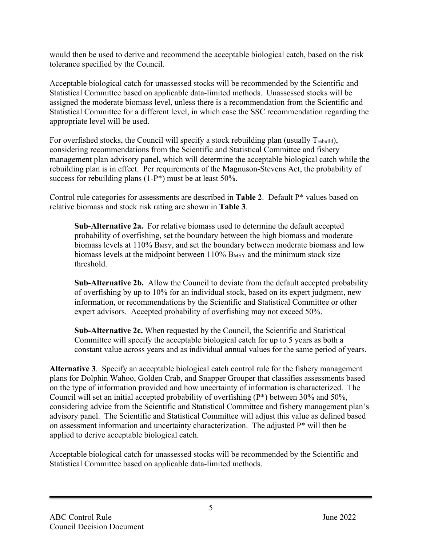would then be used to derive and recommend the acceptable biological catch, based on the risk tolerance specified by the Council.

Acceptable biological catch for unassessed stocks will be recommended by the Scientific and Statistical Committee based on applicable data-limited methods. Unassessed stocks will be assigned the moderate biomass level, unless there is a recommendation from the Scientific and Statistical Committee for a different level, in which case the SSC recommendation regarding the appropriate level will be used.

For overfished stocks, the Council will specify a stock rebuilding plan (usually Trebuild), considering recommendations from the Scientific and Statistical Committee and fishery management plan advisory panel, which will determine the acceptable biological catch while the rebuilding plan is in effect. Per requirements of the Magnuson-Stevens Act, the probability of success for rebuilding plans (1-P<sup>\*</sup>) must be at least 50%.

Control rule categories for assessments are described in **Table 2**. Default P\* values based on relative biomass and stock risk rating are shown in **Table 3**.

**Sub-Alternative 2a.** For relative biomass used to determine the default accepted probability of overfishing, set the boundary between the high biomass and moderate biomass levels at 110% B<sub>MSY</sub>, and set the boundary between moderate biomass and low biomass levels at the midpoint between  $110\%$  B<sub>MSY</sub> and the minimum stock size threshold.

**Sub-Alternative 2b.** Allow the Council to deviate from the default accepted probability of overfishing by up to 10% for an individual stock, based on its expert judgment, new information, or recommendations by the Scientific and Statistical Committee or other expert advisors. Accepted probability of overfishing may not exceed 50%.

**Sub-Alternative 2c.** When requested by the Council, the Scientific and Statistical Committee will specify the acceptable biological catch for up to 5 years as both a constant value across years and as individual annual values for the same period of years.

**Alternative 3**. Specify an acceptable biological catch control rule for the fishery management plans for Dolphin Wahoo, Golden Crab, and Snapper Grouper that classifies assessments based on the type of information provided and how uncertainty of information is characterized. The Council will set an initial accepted probability of overfishing (P\*) between 30% and 50%, considering advice from the Scientific and Statistical Committee and fishery management plan's advisory panel. The Scientific and Statistical Committee will adjust this value as defined based on assessment information and uncertainty characterization. The adjusted P\* will then be applied to derive acceptable biological catch.

Acceptable biological catch for unassessed stocks will be recommended by the Scientific and Statistical Committee based on applicable data-limited methods.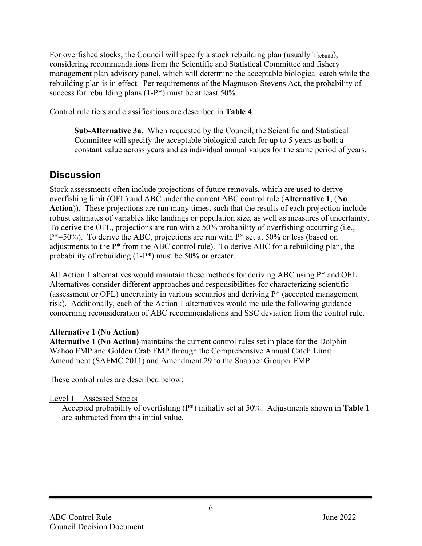For overfished stocks, the Council will specify a stock rebuilding plan (usually Trebuild), considering recommendations from the Scientific and Statistical Committee and fishery management plan advisory panel, which will determine the acceptable biological catch while the rebuilding plan is in effect. Per requirements of the Magnuson-Stevens Act, the probability of success for rebuilding plans (1-P<sup>\*</sup>) must be at least 50%.

Control rule tiers and classifications are described in **Table 4**.

**Sub-Alternative 3a.** When requested by the Council, the Scientific and Statistical Committee will specify the acceptable biological catch for up to 5 years as both a constant value across years and as individual annual values for the same period of years.

## **Discussion**

Stock assessments often include projections of future removals, which are used to derive overfishing limit (OFL) and ABC under the current ABC control rule (**Alternative 1**, (**No Action**)). These projections are run many times, such that the results of each projection include robust estimates of variables like landings or population size, as well as measures of uncertainty. To derive the OFL, projections are run with a 50% probability of overfishing occurring (i.e.,  $P^*=50\%$ ). To derive the ABC, projections are run with  $P^*$  set at 50% or less (based on adjustments to the P\* from the ABC control rule). To derive ABC for a rebuilding plan, the probability of rebuilding (1-P\*) must be 50% or greater.

All Action 1 alternatives would maintain these methods for deriving ABC using  $P^*$  and OFL. Alternatives consider different approaches and responsibilities for characterizing scientific (assessment or OFL) uncertainty in various scenarios and deriving P\* (accepted management risk). Additionally, each of the Action 1 alternatives would include the following guidance concerning reconsideration of ABC recommendations and SSC deviation from the control rule.

### **Alternative 1 (No Action)**

**Alternative 1 (No Action)** maintains the current control rules set in place for the Dolphin Wahoo FMP and Golden Crab FMP through the Comprehensive Annual Catch Limit Amendment (SAFMC 2011) and Amendment 29 to the Snapper Grouper FMP.

These control rules are described below:

#### Level 1 – Assessed Stocks

Accepted probability of overfishing (P\*) initially set at 50%. Adjustments shown in **Table 1** are subtracted from this initial value.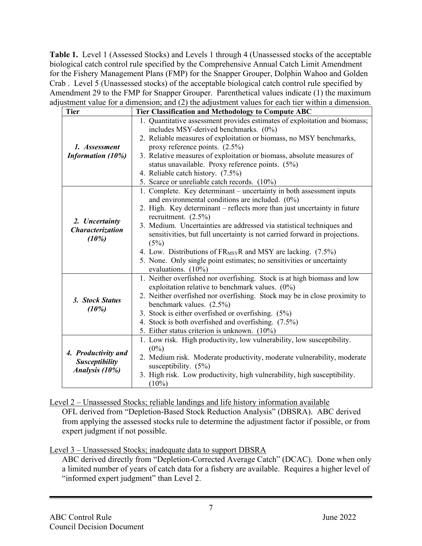**Table 1.** Level 1 (Assessed Stocks) and Levels 1 through 4 (Unassessed stocks of the acceptable biological catch control rule specified by the Comprehensive Annual Catch Limit Amendment for the Fishery Management Plans (FMP) for the Snapper Grouper, Dolphin Wahoo and Golden Crab . Level 5 (Unassessed stocks) of the acceptable biological catch control rule specified by Amendment 29 to the FMP for Snapper Grouper. Parenthetical values indicate (1) the maximum adjustment value for a dimension; and (2) the adjustment values for each tier within a dimension.

| <b>Tier</b>               | Tier Classification and Methodology to Compute ABC                         |  |  |  |
|---------------------------|----------------------------------------------------------------------------|--|--|--|
|                           | 1. Quantitative assessment provides estimates of exploitation and biomass; |  |  |  |
|                           | includes MSY-derived benchmarks. (0%)                                      |  |  |  |
|                           | 2. Reliable measures of exploitation or biomass, no MSY benchmarks,        |  |  |  |
| 1. Assessment             | proxy reference points. (2.5%)                                             |  |  |  |
| Information (10%)         | 3. Relative measures of exploitation or biomass, absolute measures of      |  |  |  |
|                           | status unavailable. Proxy reference points. (5%)                           |  |  |  |
|                           | 4. Reliable catch history. (7.5%)                                          |  |  |  |
|                           | 5. Scarce or unreliable catch records. (10%)                               |  |  |  |
|                           | 1. Complete. Key determinant - uncertainty in both assessment inputs       |  |  |  |
|                           | and environmental conditions are included. $(0\%)$                         |  |  |  |
|                           | 2. High. Key determinant – reflects more than just uncertainty in future   |  |  |  |
|                           | recruitment. $(2.5\%)$                                                     |  |  |  |
| 2. Uncertainty            | 3. Medium. Uncertainties are addressed via statistical techniques and      |  |  |  |
| Characterization<br>(10%) | sensitivities, but full uncertainty is not carried forward in projections. |  |  |  |
|                           | (5%)                                                                       |  |  |  |
|                           | 4. Low. Distributions of FR <sub>MSY</sub> R and MSY are lacking. (7.5%)   |  |  |  |
|                           | 5. None. Only single point estimates; no sensitivities or uncertainty      |  |  |  |
|                           | evaluations. (10%)                                                         |  |  |  |
|                           | 1. Neither overfished nor overfishing. Stock is at high biomass and low    |  |  |  |
|                           | exploitation relative to benchmark values. $(0\%)$                         |  |  |  |
| 3. Stock Status           | 2. Neither overfished nor overfishing. Stock may be in close proximity to  |  |  |  |
| (10%)                     | benchmark values. (2.5%)                                                   |  |  |  |
|                           | 3. Stock is either overfished or overfishing. $(5\%)$                      |  |  |  |
|                           | 4. Stock is both overfished and overfishing. (7.5%)                        |  |  |  |
|                           | 5. Either status criterion is unknown. (10%)                               |  |  |  |
|                           | 1. Low risk. High productivity, low vulnerability, low susceptibility.     |  |  |  |
| 4. Productivity and       | $(0\%)$                                                                    |  |  |  |
| <b>Susceptibility</b>     | 2. Medium risk. Moderate productivity, moderate vulnerability, moderate    |  |  |  |
| Analysis (10%)            | susceptibility. $(5%)$                                                     |  |  |  |
|                           | 3. High risk. Low productivity, high vulnerability, high susceptibility.   |  |  |  |
|                           | $(10\%)$                                                                   |  |  |  |

Level 2 – Unassessed Stocks; reliable landings and life history information available

OFL derived from "Depletion-Based Stock Reduction Analysis" (DBSRA). ABC derived from applying the assessed stocks rule to determine the adjustment factor if possible, or from expert judgment if not possible.

Level 3 – Unassessed Stocks; inadequate data to support DBSRA

ABC derived directly from "Depletion-Corrected Average Catch" (DCAC). Done when only a limited number of years of catch data for a fishery are available. Requires a higher level of "informed expert judgment" than Level 2.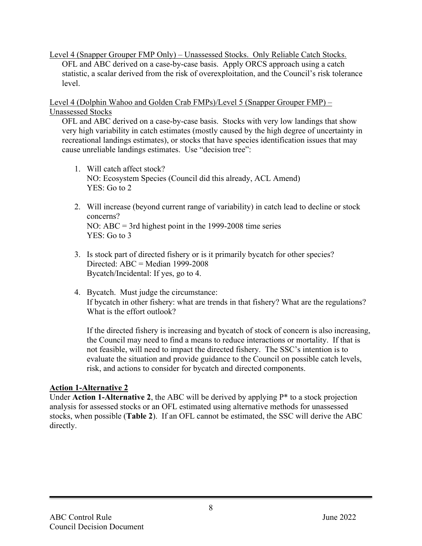Level 4 (Snapper Grouper FMP Only) – Unassessed Stocks. Only Reliable Catch Stocks. OFL and ABC derived on a case-by-case basis. Apply ORCS approach using a catch statistic, a scalar derived from the risk of overexploitation, and the Council's risk tolerance level.

Level 4 (Dolphin Wahoo and Golden Crab FMPs)/Level 5 (Snapper Grouper FMP) – Unassessed Stocks

OFL and ABC derived on a case-by-case basis. Stocks with very low landings that show very high variability in catch estimates (mostly caused by the high degree of uncertainty in recreational landings estimates), or stocks that have species identification issues that may cause unreliable landings estimates. Use "decision tree":

- 1. Will catch affect stock? NO: Ecosystem Species (Council did this already, ACL Amend) YES: Go to 2
- 2. Will increase (beyond current range of variability) in catch lead to decline or stock concerns? NO: ABC = 3rd highest point in the 1999-2008 time series YES: Go to 3
- 3. Is stock part of directed fishery or is it primarily bycatch for other species? Directed:  $ABC = Median 1999-2008$ Bycatch/Incidental: If yes, go to 4.
- 4. Bycatch. Must judge the circumstance: If bycatch in other fishery: what are trends in that fishery? What are the regulations? What is the effort outlook?

If the directed fishery is increasing and bycatch of stock of concern is also increasing, the Council may need to find a means to reduce interactions or mortality. If that is not feasible, will need to impact the directed fishery. The SSC's intention is to evaluate the situation and provide guidance to the Council on possible catch levels, risk, and actions to consider for bycatch and directed components.

#### **Action 1-Alternative 2**

Under **Action 1-Alternative 2**, the ABC will be derived by applying P\* to a stock projection analysis for assessed stocks or an OFL estimated using alternative methods for unassessed stocks, when possible (**Table 2**). If an OFL cannot be estimated, the SSC will derive the ABC directly.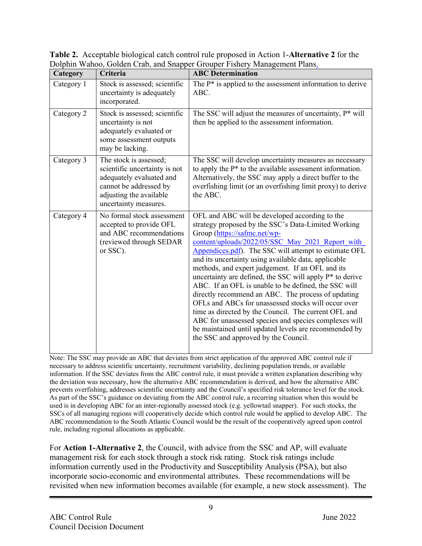| Category   | Criteria                                                                                                                                                          | <b>ABC</b> Determination                                                                                                                                                                                                                                                                                                                                                                                                                                                                                                                                                                                                                                                                                                                                                                                          |  |
|------------|-------------------------------------------------------------------------------------------------------------------------------------------------------------------|-------------------------------------------------------------------------------------------------------------------------------------------------------------------------------------------------------------------------------------------------------------------------------------------------------------------------------------------------------------------------------------------------------------------------------------------------------------------------------------------------------------------------------------------------------------------------------------------------------------------------------------------------------------------------------------------------------------------------------------------------------------------------------------------------------------------|--|
| Category 1 | Stock is assessed; scientific<br>uncertainty is adequately<br>incorporated.                                                                                       | The $P^*$ is applied to the assessment information to derive<br>ABC.                                                                                                                                                                                                                                                                                                                                                                                                                                                                                                                                                                                                                                                                                                                                              |  |
| Category 2 | Stock is assessed; scientific<br>uncertainty is not<br>adequately evaluated or<br>some assessment outputs<br>may be lacking.                                      | The SSC will adjust the measures of uncertainty, P* will<br>then be applied to the assessment information.                                                                                                                                                                                                                                                                                                                                                                                                                                                                                                                                                                                                                                                                                                        |  |
| Category 3 | The stock is assessed;<br>scientific uncertainty is not<br>adequately evaluated and<br>cannot be addressed by<br>adjusting the available<br>uncertainty measures. | The SSC will develop uncertainty measures as necessary<br>to apply the $P^*$ to the available assessment information.<br>Alternatively, the SSC may apply a direct buffer to the<br>overfishing limit (or an overfishing limit proxy) to derive<br>the ABC.                                                                                                                                                                                                                                                                                                                                                                                                                                                                                                                                                       |  |
| Category 4 | No formal stock assessment<br>accepted to provide OFL<br>and ABC recommendations<br>(reviewed through SEDAR<br>or SSC).                                           | OFL and ABC will be developed according to the<br>strategy proposed by the SSC's Data-Limited Working<br>Group (https://safmc.net/wp-<br>content/uploads/2022/05/SSC_May_2021_Report_with<br>Appendices.pdf). The SSC will attempt to estimate OFL<br>and its uncertainty using available data, applicable<br>methods, and expert judgement. If an OFL and its<br>uncertainty are defined, the SSC will apply P* to derive<br>ABC. If an OFL is unable to be defined, the SSC will<br>directly recommend an ABC. The process of updating<br>OFLs and ABCs for unassessed stocks will occur over<br>time as directed by the Council. The current OFL and<br>ABC for unassessed species and species complexes will<br>be maintained until updated levels are recommended by<br>the SSC and approved by the Council. |  |

**Table 2.** Acceptable biological catch control rule proposed in Action 1-**Alternative 2** for the Dolphin Wahoo, Golden Crab, and Snapper Grouper Fishery Management Plans.

Note: The SSC may provide an ABC that deviates from strict application of the approved ABC control rule if necessary to address scientific uncertainty, recruitment variability, declining population trends, or available information. If the SSC deviates from the ABC control rule, it must provide a written explanation describing why the deviation was necessary, how the alternative ABC recommendation is derived, and how the alternative ABC prevents overfishing, addresses scientific uncertainty and the Council's specified risk tolerance level for the stock. As part of the SSC's guidance on deviating from the ABC control rule, a recurring situation when this would be used is in developing ABC for an inter-regionally assessed stock (e.g. yellowtail snapper). For such stocks, the SSCs of all managing regions will cooperatively decide which control rule would be applied to develop ABC. The ABC recommendation to the South Atlantic Council would be the result of the cooperatively agreed upon control rule, including regional allocations as applicable.

For **Action 1-Alternative 2**, the Council, with advice from the SSC and AP, will evaluate management risk for each stock through a stock risk rating. Stock risk ratings include information currently used in the Productivity and Susceptibility Analysis (PSA), but also incorporate socio-economic and environmental attributes. These recommendations will be revisited when new information becomes available (for example, a new stock assessment). The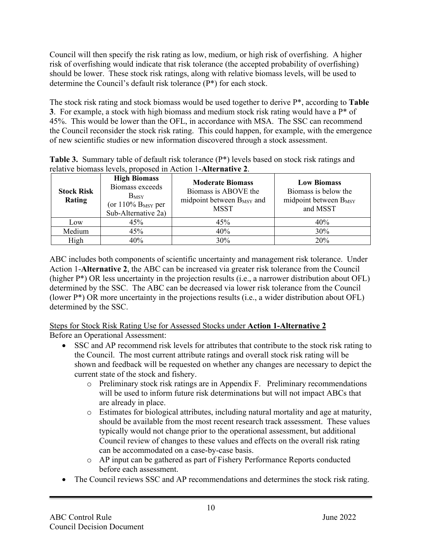Council will then specify the risk rating as low, medium, or high risk of overfishing. A higher risk of overfishing would indicate that risk tolerance (the accepted probability of overfishing) should be lower. These stock risk ratings, along with relative biomass levels, will be used to determine the Council's default risk tolerance (P\*) for each stock.

The stock risk rating and stock biomass would be used together to derive P\*, according to **Table 3**. For example, a stock with high biomass and medium stock risk rating would have a P\* of 45%. This would be lower than the OFL, in accordance with MSA. The SSC can recommend the Council reconsider the stock risk rating. This could happen, for example, with the emergence of new scientific studies or new information discovered through a stock assessment.

|  | Table 3. Summary table of default risk tolerance (P*) levels based on stock risk ratings and |  |  |
|--|----------------------------------------------------------------------------------------------|--|--|
|  | relative biomass levels, proposed in Action 1-Alternative 2.                                 |  |  |

| <b>Stock Risk</b><br>Rating | <b>High Biomass</b><br>Biomass exceeds<br>$B_{MSY}$<br>(or $110\%$ B <sub>MSY</sub> per<br>Sub-Alternative 2a) | <b>Moderate Biomass</b><br>Biomass is ABOVE the<br>midpoint between $B_{MSY}$ and<br><b>MSST</b> | <b>Low Biomass</b><br>Biomass is below the<br>midpoint between $B_{MSY}$<br>and MSST |
|-----------------------------|----------------------------------------------------------------------------------------------------------------|--------------------------------------------------------------------------------------------------|--------------------------------------------------------------------------------------|
| Low                         | 45%                                                                                                            | 45%                                                                                              | 40%                                                                                  |
| Medium                      | 45%                                                                                                            | 40%                                                                                              | 30%                                                                                  |
| High                        | 40%                                                                                                            | 30%                                                                                              | 20%                                                                                  |

ABC includes both components of scientific uncertainty and management risk tolerance. Under Action 1-**Alternative 2**, the ABC can be increased via greater risk tolerance from the Council (higher P\*) OR less uncertainty in the projection results (i.e., a narrower distribution about OFL) determined by the SSC. The ABC can be decreased via lower risk tolerance from the Council (lower P\*) OR more uncertainty in the projections results (i.e., a wider distribution about OFL) determined by the SSC.

## Steps for Stock Risk Rating Use for Assessed Stocks under **Action 1-Alternative 2**

Before an Operational Assessment:

- SSC and AP recommend risk levels for attributes that contribute to the stock risk rating to the Council. The most current attribute ratings and overall stock risk rating will be shown and feedback will be requested on whether any changes are necessary to depict the current state of the stock and fishery.
	- o Preliminary stock risk ratings are in Appendix F. Preliminary recommendations will be used to inform future risk determinations but will not impact ABCs that are already in place.
	- o Estimates for biological attributes, including natural mortality and age at maturity, should be available from the most recent research track assessment. These values typically would not change prior to the operational assessment, but additional Council review of changes to these values and effects on the overall risk rating can be accommodated on a case-by-case basis.
	- o AP input can be gathered as part of Fishery Performance Reports conducted before each assessment.
- The Council reviews SSC and AP recommendations and determines the stock risk rating.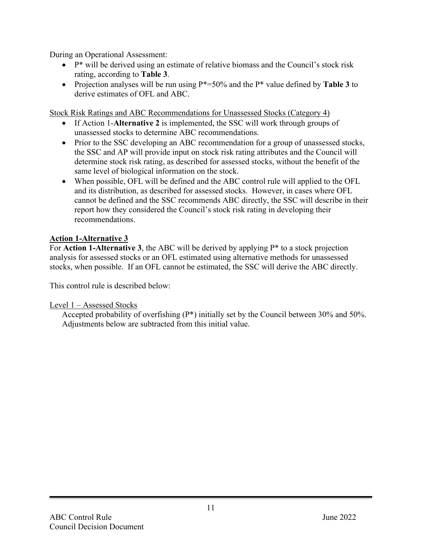During an Operational Assessment:

- $\bullet$  P<sup>\*</sup> will be derived using an estimate of relative biomass and the Council's stock risk rating, according to **Table 3**.
- Projection analyses will be run using P\*=50% and the P\* value defined by **Table 3** to derive estimates of OFL and ABC.

Stock Risk Ratings and ABC Recommendations for Unassessed Stocks (Category 4)

- If Action 1-**Alternative 2** is implemented, the SSC will work through groups of unassessed stocks to determine ABC recommendations.
- Prior to the SSC developing an ABC recommendation for a group of unassessed stocks, the SSC and AP will provide input on stock risk rating attributes and the Council will determine stock risk rating, as described for assessed stocks, without the benefit of the same level of biological information on the stock.
- When possible, OFL will be defined and the ABC control rule will applied to the OFL and its distribution, as described for assessed stocks. However, in cases where OFL cannot be defined and the SSC recommends ABC directly, the SSC will describe in their report how they considered the Council's stock risk rating in developing their recommendations.

#### **Action 1-Alternative 3**

For **Action 1-Alternative 3**, the ABC will be derived by applying P\* to a stock projection analysis for assessed stocks or an OFL estimated using alternative methods for unassessed stocks, when possible. If an OFL cannot be estimated, the SSC will derive the ABC directly.

This control rule is described below:

#### Level 1 – Assessed Stocks

Accepted probability of overfishing (P\*) initially set by the Council between 30% and 50%. Adjustments below are subtracted from this initial value.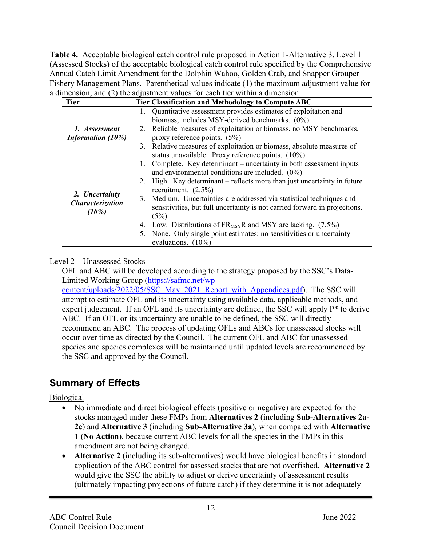**Table 4.** Acceptable biological catch control rule proposed in Action 1-Alternative 3. Level 1 (Assessed Stocks) of the acceptable biological catch control rule specified by the Comprehensive Annual Catch Limit Amendment for the Dolphin Wahoo, Golden Crab, and Snapper Grouper Fishery Management Plans. Parenthetical values indicate (1) the maximum adjustment value for a dimension; and (2) the adjustment values for each tier within a dimension.

| <b>Tier</b>                                    | Tier Classification and Methodology to Compute ABC                         |  |  |
|------------------------------------------------|----------------------------------------------------------------------------|--|--|
|                                                | 1. Quantitative assessment provides estimates of exploitation and          |  |  |
|                                                | biomass; includes MSY-derived benchmarks. (0%)                             |  |  |
| 1. Assessment                                  | 2. Reliable measures of exploitation or biomass, no MSY benchmarks,        |  |  |
| Information $(10\%)$                           | proxy reference points. $(5%)$                                             |  |  |
|                                                | 3. Relative measures of exploitation or biomass, absolute measures of      |  |  |
|                                                | status unavailable. Proxy reference points. (10%)                          |  |  |
|                                                | 1. Complete. Key determinant – uncertainty in both assessment inputs       |  |  |
|                                                | and environmental conditions are included. $(0\%)$                         |  |  |
|                                                | 2. High. Key determinant – reflects more than just uncertainty in future   |  |  |
|                                                | recruitment. $(2.5\%)$                                                     |  |  |
| 2. Uncertainty<br>Characterization<br>$(10\%)$ | 3. Medium. Uncertainties are addressed via statistical techniques and      |  |  |
|                                                | sensitivities, but full uncertainty is not carried forward in projections. |  |  |
|                                                | (5%)                                                                       |  |  |
|                                                | 4. Low. Distributions of FR <sub>MSY</sub> R and MSY are lacking. (7.5%)   |  |  |
|                                                | 5. None. Only single point estimates; no sensitivities or uncertainty      |  |  |
|                                                | evaluations. $(10\%)$                                                      |  |  |

#### Level 2 – Unassessed Stocks

OFL and ABC will be developed according to the strategy proposed by the SSC's Data-Limited Working Group [\(https://safmc.net/wp-](https://safmc.net/wp-content/uploads/2022/05/SSC_May_2021_Report_with_Appendices.pdf)

[content/uploads/2022/05/SSC\\_May\\_2021\\_Report\\_with\\_Appendices.pdf\)](https://safmc.net/wp-content/uploads/2022/05/SSC_May_2021_Report_with_Appendices.pdf). The SSC will attempt to estimate OFL and its uncertainty using available data, applicable methods, and expert judgement. If an OFL and its uncertainty are defined, the SSC will apply  $P^*$  to derive ABC. If an OFL or its uncertainty are unable to be defined, the SSC will directly recommend an ABC. The process of updating OFLs and ABCs for unassessed stocks will occur over time as directed by the Council. The current OFL and ABC for unassessed species and species complexes will be maintained until updated levels are recommended by the SSC and approved by the Council.

## **Summary of Effects**

### Biological

- No immediate and direct biological effects (positive or negative) are expected for the stocks managed under these FMPs from **Alternatives 2** (including **Sub-Alternatives 2a-2c**) and **Alternative 3** (including **Sub-Alternative 3a**), when compared with **Alternative 1 (No Action)**, because current ABC levels for all the species in the FMPs in this amendment are not being changed.
- **Alternative 2** (including its sub-alternatives) would have biological benefits in standard application of the ABC control for assessed stocks that are not overfished. **Alternative 2**  would give the SSC the ability to adjust or derive uncertainty of assessment results (ultimately impacting projections of future catch) if they determine it is not adequately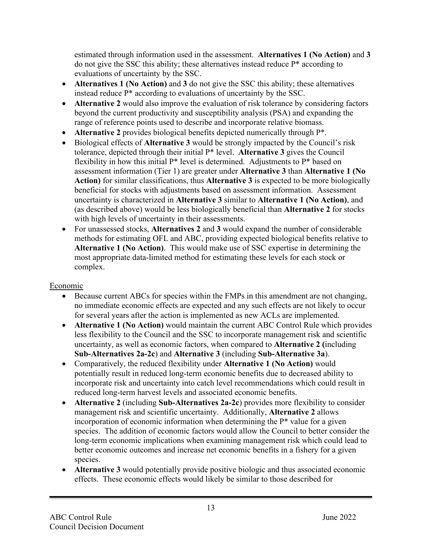estimated through information used in the assessment. **Alternatives 1 (No Action)** and **3** do not give the SSC this ability; these alternatives instead reduce P\* according to evaluations of uncertainty by the SSC.

- **Alternatives 1 (No Action)** and **3** do not give the SSC this ability; these alternatives instead reduce P\* according to evaluations of uncertainty by the SSC.
- **Alternative 2** would also improve the evaluation of risk tolerance by considering factors beyond the current productivity and susceptibility analysis (PSA) and expanding the range of reference points used to describe and incorporate relative biomass.
- **Alternative 2** provides biological benefits depicted numerically through P\*.
- Biological effects of **Alternative 3** would be strongly impacted by the Council's risk tolerance, depicted through their initial P\* level. **Alternative 3** gives the Council flexibility in how this initial  $P^*$  level is determined. Adjustments to  $P^*$  based on assessment information (Tier 1) are greater under **Alternative 3** than **Alternative 1 (No Action)** for similar classifications, thus **Alternative 3** is expected to be more biologically beneficial for stocks with adjustments based on assessment information. Assessment uncertainty is characterized in **Alternative 3** similar to **Alternative 1 (No Action)**, and (as described above) would be less biologically beneficial than **Alternative 2** for stocks with high levels of uncertainty in their assessments.
- For unassessed stocks, **Alternatives 2** and **3** would expand the number of considerable methods for estimating OFL and ABC, providing expected biological benefits relative to **Alternative 1 (No Action)**. This would make use of SSC expertise in determining the most appropriate data-limited method for estimating these levels for each stock or complex.

#### Economic

- Because current ABCs for species within the FMPs in this amendment are not changing, no immediate economic effects are expected and any such effects are not likely to occur for several years after the action is implemented as new ACLs are implemented.
- **Alternative 1 (No Action)** would maintain the current ABC Control Rule which provides less flexibility to the Council and the SSC to incorporate management risk and scientific uncertainty, as well as economic factors, when compared to **Alternative 2 (**including **Sub-Alternatives 2a-2c**) and **Alternative 3** (including **Sub-Alternative 3a**).
- Comparatively, the reduced flexibility under **Alternative 1 (No Action)** would potentially result in reduced long-term economic benefits due to decreased ability to incorporate risk and uncertainty into catch level recommendations which could result in reduced long-term harvest levels and associated economic benefits.
- **Alternative 2** (including **Sub-Alternatives 2a-2c**) provides more flexibility to consider management risk and scientific uncertainty. Additionally, **Alternative 2** allows incorporation of economic information when determining the P\* value for a given species. The addition of economic factors would allow the Council to better consider the long-term economic implications when examining management risk which could lead to better economic outcomes and increase net economic benefits in a fishery for a given species.
- **Alternative 3** would potentially provide positive biologic and thus associated economic effects. These economic effects would likely be similar to those described for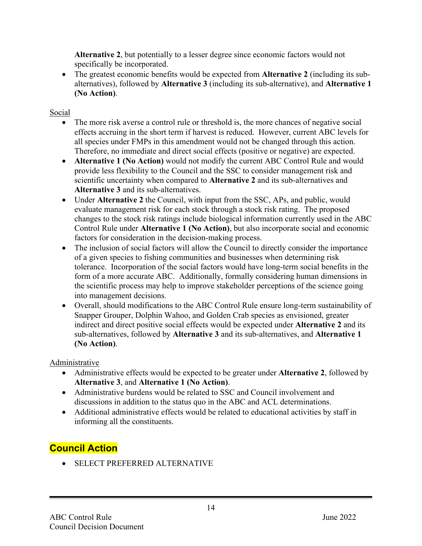**Alternative 2**, but potentially to a lesser degree since economic factors would not specifically be incorporated.

• The greatest economic benefits would be expected from **Alternative 2** (including its subalternatives), followed by **Alternative 3** (including its sub-alternative), and **Alternative 1 (No Action)**.

Social

- The more risk averse a control rule or threshold is, the more chances of negative social effects accruing in the short term if harvest is reduced. However, current ABC levels for all species under FMPs in this amendment would not be changed through this action. Therefore, no immediate and direct social effects (positive or negative) are expected.
- **Alternative 1 (No Action)** would not modify the current ABC Control Rule and would provide less flexibility to the Council and the SSC to consider management risk and scientific uncertainty when compared to **Alternative 2** and its sub-alternatives and **Alternative 3** and its sub-alternatives.
- Under **Alternative 2** the Council, with input from the SSC, APs, and public, would evaluate management risk for each stock through a stock risk rating. The proposed changes to the stock risk ratings include biological information currently used in the ABC Control Rule under **Alternative 1 (No Action)**, but also incorporate social and economic factors for consideration in the decision-making process.
- The inclusion of social factors will allow the Council to directly consider the importance of a given species to fishing communities and businesses when determining risk tolerance. Incorporation of the social factors would have long-term social benefits in the form of a more accurate ABC. Additionally, formally considering human dimensions in the scientific process may help to improve stakeholder perceptions of the science going into management decisions.
- Overall, should modifications to the ABC Control Rule ensure long-term sustainability of Snapper Grouper, Dolphin Wahoo, and Golden Crab species as envisioned, greater indirect and direct positive social effects would be expected under **Alternative 2** and its sub-alternatives, followed by **Alternative 3** and its sub-alternatives, and **Alternative 1 (No Action)**.

Administrative

- Administrative effects would be expected to be greater under **Alternative 2**, followed by **Alternative 3**, and **Alternative 1 (No Action)**.
- Administrative burdens would be related to SSC and Council involvement and discussions in addition to the status quo in the ABC and ACL determinations.
- Additional administrative effects would be related to educational activities by staff in informing all the constituents.

## **Council Action**

• SELECT PREFERRED ALTERNATIVE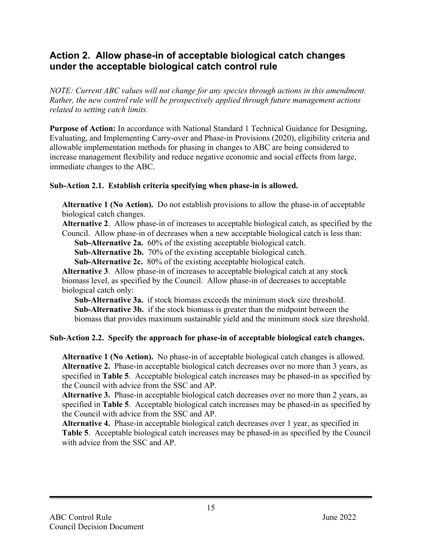## **Action 2. Allow phase-in of acceptable biological catch changes under the acceptable biological catch control rule**

*NOTE: Current ABC values will not change for any species through actions in this amendment. Rather, the new control rule will be prospectively applied through future management actions related to setting catch limits.*

**Purpose of Action:** In accordance with National Standard 1 Technical Guidance for Designing, Evaluating, and Implementing Carry-over and Phase-in Provisions (2020), eligibility criteria and allowable implementation methods for phasing in changes to ABC are being considered to increase management flexibility and reduce negative economic and social effects from large, immediate changes to the ABC.

#### **Sub-Action 2.1. Establish criteria specifying when phase-in is allowed.**

**Alternative 1 (No Action).** Do not establish provisions to allow the phase-in of acceptable biological catch changes.

**Alternative 2**. Allow phase-in of increases to acceptable biological catch, as specified by the Council. Allow phase-in of decreases when a new acceptable biological catch is less than:

**Sub-Alternative 2a.** 60% of the existing acceptable biological catch.

**Sub-Alternative 2b.** 70% of the existing acceptable biological catch.

**Sub-Alternative 2c.** 80% of the existing acceptable biological catch.

**Alternative 3**. Allow phase-in of increases to acceptable biological catch at any stock biomass level, as specified by the Council. Allow phase-in of decreases to acceptable biological catch only:

**Sub-Alternative 3a.** if stock biomass exceeds the minimum stock size threshold. **Sub-Alternative 3b.** if the stock biomass is greater than the midpoint between the biomass that provides maximum sustainable yield and the minimum stock size threshold.

#### **Sub-Action 2.2. Specify the approach for phase-in of acceptable biological catch changes.**

**Alternative 1 (No Action).** No phase-in of acceptable biological catch changes is allowed. **Alternative 2.** Phase-in acceptable biological catch decreases over no more than 3 years, as specified in **Table 5**.Acceptable biological catch increases may be phased-in as specified by the Council with advice from the SSC and AP.

**Alternative 3.** Phase-in acceptable biological catch decreases over no more than 2 years, as specified in **Table 5**.Acceptable biological catch increases may be phased-in as specified by the Council with advice from the SSC and AP.

**Alternative 4.** Phase-in acceptable biological catch decreases over 1 year, as specified in **Table 5**.Acceptable biological catch increases may be phased-in as specified by the Council with advice from the SSC and AP.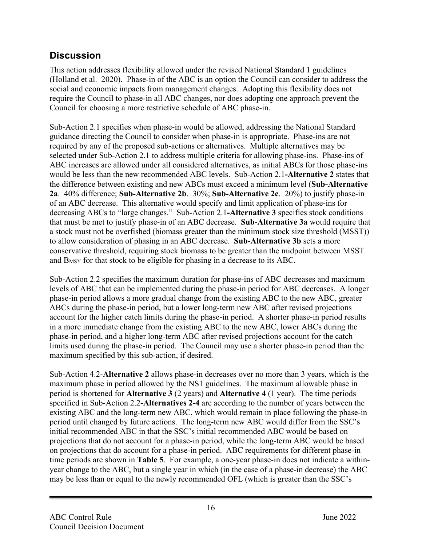## **Discussion**

This action addresses flexibility allowed under the revised National Standard 1 guidelines (Holland et al. 2020). Phase-in of the ABC is an option the Council can consider to address the social and economic impacts from management changes. Adopting this flexibility does not require the Council to phase-in all ABC changes, nor does adopting one approach prevent the Council for choosing a more restrictive schedule of ABC phase-in.

Sub-Action 2.1 specifies when phase-in would be allowed, addressing the National Standard guidance directing the Council to consider when phase-in is appropriate. Phase-ins are not required by any of the proposed sub-actions or alternatives. Multiple alternatives may be selected under Sub-Action 2.1 to address multiple criteria for allowing phase-ins. Phase-ins of ABC increases are allowed under all considered alternatives, as initial ABCs for those phase-ins would be less than the new recommended ABC levels. Sub-Action 2.1**-Alternative 2** states that the difference between existing and new ABCs must exceed a minimum level (**Sub-Alternative 2a**. 40% difference; **Sub-Alternative 2b**. 30%; **Sub-Alternative 2c**. 20%) to justify phase-in of an ABC decrease. This alternative would specify and limit application of phase-ins for decreasing ABCs to "large changes." Sub-Action 2.1**-Alternative 3** specifies stock conditions that must be met to justify phase-in of an ABC decrease. **Sub-Alternative 3a** would require that a stock must not be overfished (biomass greater than the minimum stock size threshold (MSST)) to allow consideration of phasing in an ABC decrease. **Sub-Alternative 3b** sets a more conservative threshold, requiring stock biomass to be greater than the midpoint between MSST and BMSY for that stock to be eligible for phasing in a decrease to its ABC.

Sub-Action 2.2 specifies the maximum duration for phase-ins of ABC decreases and maximum levels of ABC that can be implemented during the phase-in period for ABC decreases. A longer phase-in period allows a more gradual change from the existing ABC to the new ABC, greater ABCs during the phase-in period, but a lower long-term new ABC after revised projections account for the higher catch limits during the phase-in period. A shorter phase-in period results in a more immediate change from the existing ABC to the new ABC, lower ABCs during the phase-in period, and a higher long-term ABC after revised projections account for the catch limits used during the phase-in period. The Council may use a shorter phase-in period than the maximum specified by this sub-action, if desired.

Sub-Action 4.2-**Alternative 2** allows phase-in decreases over no more than 3 years, which is the maximum phase in period allowed by the NS1 guidelines. The maximum allowable phase in period is shortened for **Alternative 3** (2 years) and **Alternative 4** (1 year). The time periods specified in Sub-Action 2.2**-Alternatives 2-4** are according to the number of years between the existing ABC and the long-term new ABC, which would remain in place following the phase-in period until changed by future actions. The long-term new ABC would differ from the SSC's initial recommended ABC in that the SSC's initial recommended ABC would be based on projections that do not account for a phase-in period, while the long-term ABC would be based on projections that do account for a phase-in period. ABC requirements for different phase-in time periods are shown in **Table 5**. For example, a one-year phase-in does not indicate a withinyear change to the ABC, but a single year in which (in the case of a phase-in decrease) the ABC may be less than or equal to the newly recommended OFL (which is greater than the SSC's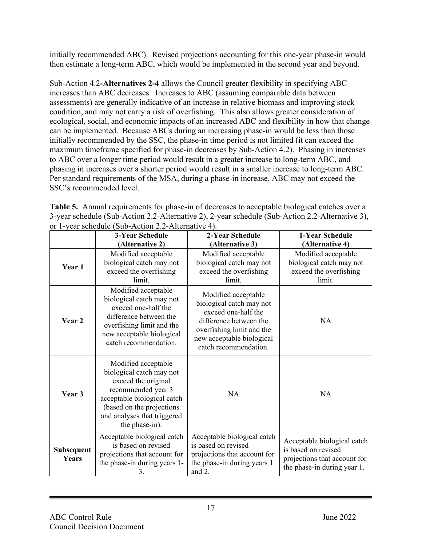initially recommended ABC). Revised projections accounting for this one-year phase-in would then estimate a long-term ABC, which would be implemented in the second year and beyond.

Sub-Action 4.2**-Alternatives 2-4** allows the Council greater flexibility in specifying ABC increases than ABC decreases. Increases to ABC (assuming comparable data between assessments) are generally indicative of an increase in relative biomass and improving stock condition, and may not carry a risk of overfishing. This also allows greater consideration of ecological, social, and economic impacts of an increased ABC and flexibility in how that change can be implemented. Because ABCs during an increasing phase-in would be less than those initially recommended by the SSC, the phase-in time period is not limited (it can exceed the maximum timeframe specified for phase-in decreases by Sub-Action 4.2). Phasing in increases to ABC over a longer time period would result in a greater increase to long-term ABC, and phasing in increases over a shorter period would result in a smaller increase to long-term ABC. Per standard requirements of the MSA, during a phase-in increase, ABC may not exceed the SSC's recommended level.

**Table 5.** Annual requirements for phase-in of decreases to acceptable biological catches over a 3-year schedule (Sub-Action 2.2-Alternative 2), 2-year schedule (Sub-Action 2.2-Alternative 3), or 1-year schedule (Sub-Action 2.2-Alternative 4).

|                            | <b>3-Year Schedule</b>                                                                                                                                                                                    | 2-Year Schedule                                                                                                                                                                     | 1-Year Schedule                                                                                                   |
|----------------------------|-----------------------------------------------------------------------------------------------------------------------------------------------------------------------------------------------------------|-------------------------------------------------------------------------------------------------------------------------------------------------------------------------------------|-------------------------------------------------------------------------------------------------------------------|
|                            | (Alternative 2)                                                                                                                                                                                           | (Alternative 3)                                                                                                                                                                     | (Alternative 4)                                                                                                   |
| Year 1                     | Modified acceptable<br>biological catch may not<br>exceed the overfishing<br>limit.                                                                                                                       | Modified acceptable<br>biological catch may not<br>exceed the overfishing<br>limit.                                                                                                 | Modified acceptable<br>biological catch may not<br>exceed the overfishing<br>limit.                               |
| Year 2                     | Modified acceptable<br>biological catch may not<br>exceed one-half the<br>difference between the<br>overfishing limit and the<br>new acceptable biological<br>catch recommendation.                       | Modified acceptable<br>biological catch may not<br>exceed one-half the<br>difference between the<br>overfishing limit and the<br>new acceptable biological<br>catch recommendation. | <b>NA</b>                                                                                                         |
| Year 3                     | Modified acceptable<br>biological catch may not<br>exceed the original<br>recommended year 3<br>acceptable biological catch<br>(based on the projections<br>and analyses that triggered<br>the phase-in). | <b>NA</b>                                                                                                                                                                           | <b>NA</b>                                                                                                         |
| <b>Subsequent</b><br>Years | Acceptable biological catch<br>is based on revised<br>projections that account for<br>the phase-in during years 1-<br>3.                                                                                  | Acceptable biological catch<br>is based on revised<br>projections that account for<br>the phase-in during years 1<br>and 2.                                                         | Acceptable biological catch<br>is based on revised<br>projections that account for<br>the phase-in during year 1. |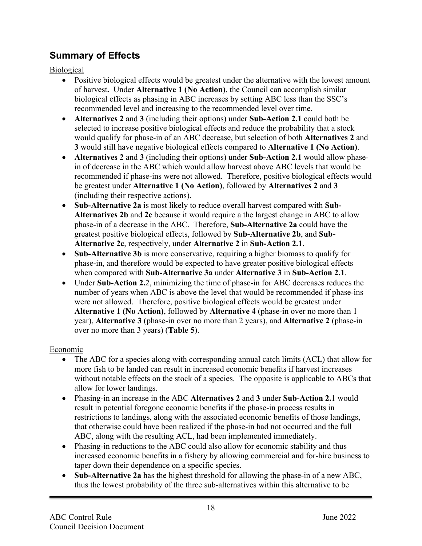## **Summary of Effects**

Biological

- Positive biological effects would be greatest under the alternative with the lowest amount of harvest**.** Under **Alternative 1 (No Action)**, the Council can accomplish similar biological effects as phasing in ABC increases by setting ABC less than the SSC's recommended level and increasing to the recommended level over time.
- **Alternatives 2** and **3** (including their options) under **Sub-Action 2.1** could both be selected to increase positive biological effects and reduce the probability that a stock would qualify for phase-in of an ABC decrease, but selection of both **Alternatives 2** and **3** would still have negative biological effects compared to **Alternative 1 (No Action)**.
- **Alternatives 2** and **3** (including their options) under **Sub-Action 2.1** would allow phasein of decrease in the ABC which would allow harvest above ABC levels that would be recommended if phase-ins were not allowed. Therefore, positive biological effects would be greatest under **Alternative 1 (No Action)**, followed by **Alternatives 2** and **3** (including their respective actions).
- **Sub-Alternative 2a** is most likely to reduce overall harvest compared with **Sub-Alternatives 2b** and **2c** because it would require a the largest change in ABC to allow phase-in of a decrease in the ABC. Therefore, **Sub-Alternative 2a** could have the greatest positive biological effects, followed by **Sub-Alternative 2b**, and **Sub-Alternative 2c**, respectively, under **Alternative 2** in **Sub-Action 2.1**.
- **Sub-Alternative 3b** is more conservative, requiring a higher biomass to qualify for phase-in, and therefore would be expected to have greater positive biological effects when compared with **Sub-Alternative 3a** under **Alternative 3** in **Sub-Action 2.1**.
- Under **Sub-Action 2.2**, minimizing the time of phase-in for ABC decreases reduces the number of years when ABC is above the level that would be recommended if phase-ins were not allowed. Therefore, positive biological effects would be greatest under **Alternative 1 (No Action)**, followed by **Alternative 4** (phase-in over no more than 1 year), **Alternative 3** (phase-in over no more than 2 years), and **Alternative 2** (phase-in over no more than 3 years) (**Table 5**).

#### Economic

- The ABC for a species along with corresponding annual catch limits (ACL) that allow for more fish to be landed can result in increased economic benefits if harvest increases without notable effects on the stock of a species. The opposite is applicable to ABCs that allow for lower landings.
- Phasing-in an increase in the ABC **Alternatives 2** and **3** under **Sub-Action 2.**1 would result in potential foregone economic benefits if the phase-in process results in restrictions to landings, along with the associated economic benefits of those landings, that otherwise could have been realized if the phase-in had not occurred and the full ABC, along with the resulting ACL, had been implemented immediately.
- Phasing-in reductions to the ABC could also allow for economic stability and thus increased economic benefits in a fishery by allowing commercial and for-hire business to taper down their dependence on a specific species.
- **Sub-Alternative 2a** has the highest threshold for allowing the phase-in of a new ABC, thus the lowest probability of the three sub-alternatives within this alternative to be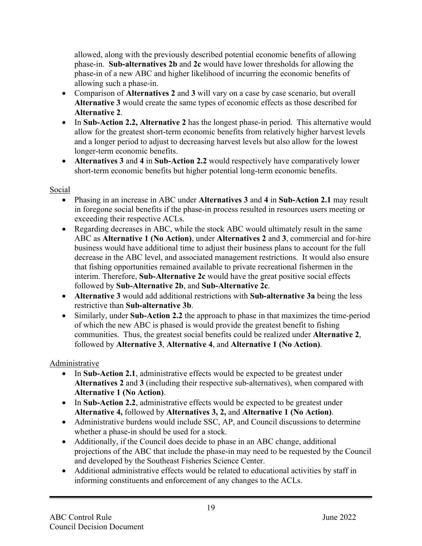allowed, along with the previously described potential economic benefits of allowing phase-in. **Sub-alternatives 2b** and **2c** would have lower thresholds for allowing the phase-in of a new ABC and higher likelihood of incurring the economic benefits of allowing such a phase-in.

- Comparison of **Alternatives 2** and **3** will vary on a case by case scenario, but overall **Alternative 3** would create the same types of economic effects as those described for **Alternative 2**.
- In **Sub-Action 2.2, Alternative 2** has the longest phase-in period. This alternative would allow for the greatest short-term economic benefits from relatively higher harvest levels and a longer period to adjust to decreasing harvest levels but also allow for the lowest longer-term economic benefits.
- **Alternatives 3** and **4** in **Sub-Action 2.2** would respectively have comparatively lower short-term economic benefits but higher potential long-term economic benefits.

#### Social

- Phasing in an increase in ABC under **Alternatives 3** and **4** in **Sub-Action 2.1** may result in foregone social benefits if the phase-in process resulted in resources users meeting or exceeding their respective ACLs.
- Regarding decreases in ABC, while the stock ABC would ultimately result in the same ABC as **Alternative 1 (No Action)**, under **Alternatives 2** and **3**, commercial and for-hire business would have additional time to adjust their business plans to account for the full decrease in the ABC level, and associated management restrictions. It would also ensure that fishing opportunities remained available to private recreational fishermen in the interim. Therefore, **Sub-Alternative 2c** would have the great positive social effects followed by **Sub-Alternative 2b**, and **Sub-Alternative 2c**.
- **Alternative 3** would add additional restrictions with **Sub-alternative 3a** being the less restrictive than **Sub-alternative 3b**.
- Similarly, under **Sub-Action 2.2** the approach to phase in that maximizes the time-period of which the new ABC is phased is would provide the greatest benefit to fishing communities. Thus, the greatest social benefits could be realized under **Alternative 2**, followed by **Alternative 3**, **Alternative 4**, and **Alternative 1 (No Action)**.

#### Administrative

- In **Sub-Action 2.1**, administrative effects would be expected to be greatest under **Alternatives 2** and **3** (including their respective sub-alternatives), when compared with **Alternative 1 (No Action)**.
- In Sub-Action 2.2, administrative effects would be expected to be greatest under **Alternative 4,** followed by **Alternatives 3, 2,** and **Alternative 1 (No Action)**.
- Administrative burdens would include SSC, AP, and Council discussions to determine whether a phase-in should be used for a stock.
- Additionally, if the Council does decide to phase in an ABC change, additional projections of the ABC that include the phase-in may need to be requested by the Council and developed by the Southeast Fisheries Science Center.
- Additional administrative effects would be related to educational activities by staff in informing constituents and enforcement of any changes to the ACLs.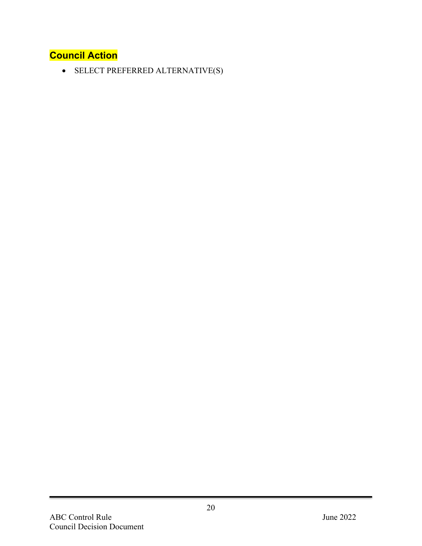## **Council Action**

• SELECT PREFERRED ALTERNATIVE(S)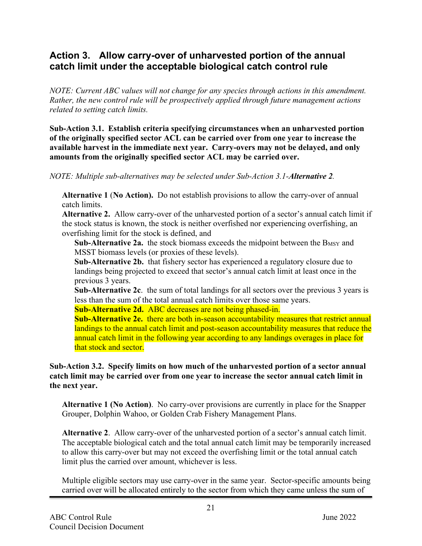## **Action 3. Allow carry-over of unharvested portion of the annual catch limit under the acceptable biological catch control rule**

*NOTE: Current ABC values will not change for any species through actions in this amendment. Rather, the new control rule will be prospectively applied through future management actions related to setting catch limits.*

**Sub-Action 3.1. Establish criteria specifying circumstances when an unharvested portion of the originally specified sector ACL can be carried over from one year to increase the available harvest in the immediate next year. Carry-overs may not be delayed, and only amounts from the originally specified sector ACL may be carried over.** 

*NOTE: Multiple sub-alternatives may be selected under Sub-Action 3.1-Alternative 2.*

**Alternative 1** (**No Action).** Do not establish provisions to allow the carry-over of annual catch limits.

**Alternative 2.** Allow carry-over of the unharvested portion of a sector's annual catch limit if the stock status is known, the stock is neither overfished nor experiencing overfishing, an overfishing limit for the stock is defined, and

**Sub-Alternative 2a.** the stock biomass exceeds the midpoint between the B<sub>MSY</sub> and MSST biomass levels (or proxies of these levels).

**Sub-Alternative 2b.** that fishery sector has experienced a regulatory closure due to landings being projected to exceed that sector's annual catch limit at least once in the previous 3 years.

**Sub-Alternative 2c**. the sum of total landings for all sectors over the previous 3 years is less than the sum of the total annual catch limits over those same years.

**Sub-Alternative 2d.** ABC decreases are not being phased-in.

**Sub-Alternative 2e.** there are both in-season accountability measures that restrict annual landings to the annual catch limit and post-season accountability measures that reduce the annual catch limit in the following year according to any landings overages in place for that stock and sector.

#### **Sub-Action 3.2. Specify limits on how much of the unharvested portion of a sector annual catch limit may be carried over from one year to increase the sector annual catch limit in the next year.**

**Alternative 1 (No Action)**. No carry-over provisions are currently in place for the Snapper Grouper, Dolphin Wahoo, or Golden Crab Fishery Management Plans.

**Alternative 2**. Allow carry-over of the unharvested portion of a sector's annual catch limit. The acceptable biological catch and the total annual catch limit may be temporarily increased to allow this carry-over but may not exceed the overfishing limit or the total annual catch limit plus the carried over amount, whichever is less.

Multiple eligible sectors may use carry-over in the same year. Sector-specific amounts being carried over will be allocated entirely to the sector from which they came unless the sum of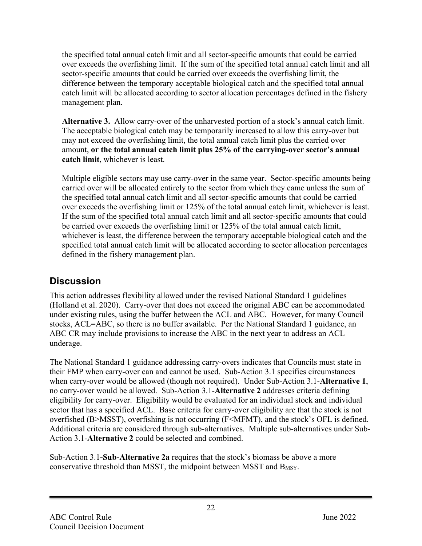the specified total annual catch limit and all sector-specific amounts that could be carried over exceeds the overfishing limit. If the sum of the specified total annual catch limit and all sector-specific amounts that could be carried over exceeds the overfishing limit, the difference between the temporary acceptable biological catch and the specified total annual catch limit will be allocated according to sector allocation percentages defined in the fishery management plan.

**Alternative 3.** Allow carry-over of the unharvested portion of a stock's annual catch limit. The acceptable biological catch may be temporarily increased to allow this carry-over but may not exceed the overfishing limit, the total annual catch limit plus the carried over amount, **or the total annual catch limit plus 25% of the carrying-over sector's annual catch limit**, whichever is least.

Multiple eligible sectors may use carry-over in the same year. Sector-specific amounts being carried over will be allocated entirely to the sector from which they came unless the sum of the specified total annual catch limit and all sector-specific amounts that could be carried over exceeds the overfishing limit or 125% of the total annual catch limit, whichever is least. If the sum of the specified total annual catch limit and all sector-specific amounts that could be carried over exceeds the overfishing limit or 125% of the total annual catch limit, whichever is least, the difference between the temporary acceptable biological catch and the specified total annual catch limit will be allocated according to sector allocation percentages defined in the fishery management plan.

## **Discussion**

This action addresses flexibility allowed under the revised National Standard 1 guidelines (Holland et al. 2020). Carry-over that does not exceed the original ABC can be accommodated under existing rules, using the buffer between the ACL and ABC. However, for many Council stocks, ACL=ABC, so there is no buffer available. Per the National Standard 1 guidance, an ABC CR may include provisions to increase the ABC in the next year to address an ACL underage.

The National Standard 1 guidance addressing carry-overs indicates that Councils must state in their FMP when carry-over can and cannot be used. Sub-Action 3.1 specifies circumstances when carry-over would be allowed (though not required). Under Sub-Action 3.1-**Alternative 1**, no carry-over would be allowed. Sub-Action 3.1-**Alternative 2** addresses criteria defining eligibility for carry-over. Eligibility would be evaluated for an individual stock and individual sector that has a specified ACL. Base criteria for carry-over eligibility are that the stock is not overfished (B>MSST), overfishing is not occurring (F<MFMT), and the stock's OFL is defined. Additional criteria are considered through sub-alternatives. Multiple sub-alternatives under Sub-Action 3.1-**Alternative 2** could be selected and combined.

Sub-Action 3.1**-Sub-Alternative 2a** requires that the stock's biomass be above a more conservative threshold than MSST, the midpoint between MSST and B<sub>MSY</sub>.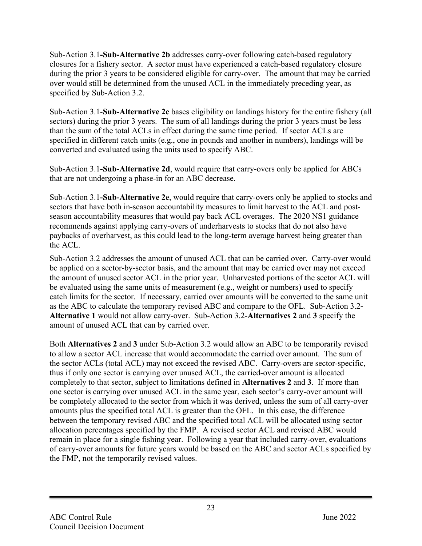Sub-Action 3.1**-Sub-Alternative 2b** addresses carry-over following catch-based regulatory closures for a fishery sector. A sector must have experienced a catch-based regulatory closure during the prior 3 years to be considered eligible for carry-over. The amount that may be carried over would still be determined from the unused ACL in the immediately preceding year, as specified by Sub-Action 3.2.

Sub-Action 3.1-**Sub-Alternative 2c** bases eligibility on landings history for the entire fishery (all sectors) during the prior 3 years. The sum of all landings during the prior 3 years must be less than the sum of the total ACLs in effect during the same time period. If sector ACLs are specified in different catch units (e.g., one in pounds and another in numbers), landings will be converted and evaluated using the units used to specify ABC.

Sub-Action 3.1**-Sub-Alternative 2d**, would require that carry-overs only be applied for ABCs that are not undergoing a phase-in for an ABC decrease.

Sub-Action 3.1**-Sub-Alternative 2e**, would require that carry-overs only be applied to stocks and sectors that have both in-season accountability measures to limit harvest to the ACL and postseason accountability measures that would pay back ACL overages. The 2020 NS1 guidance recommends against applying carry-overs of underharvests to stocks that do not also have paybacks of overharvest, as this could lead to the long-term average harvest being greater than the ACL.

Sub-Action 3.2 addresses the amount of unused ACL that can be carried over. Carry-over would be applied on a sector-by-sector basis, and the amount that may be carried over may not exceed the amount of unused sector ACL in the prior year. Unharvested portions of the sector ACL will be evaluated using the same units of measurement (e.g., weight or numbers) used to specify catch limits for the sector. If necessary, carried over amounts will be converted to the same unit as the ABC to calculate the temporary revised ABC and compare to the OFL. Sub-Action 3.2**- Alternative 1** would not allow carry-over. Sub-Action 3.2-**Alternatives 2** and **3** specify the amount of unused ACL that can by carried over.

Both **Alternatives 2** and **3** under Sub-Action 3.2 would allow an ABC to be temporarily revised to allow a sector ACL increase that would accommodate the carried over amount. The sum of the sector ACLs (total ACL) may not exceed the revised ABC. Carry-overs are sector-specific, thus if only one sector is carrying over unused ACL, the carried-over amount is allocated completely to that sector, subject to limitations defined in **Alternatives 2** and **3**. If more than one sector is carrying over unused ACL in the same year, each sector's carry-over amount will be completely allocated to the sector from which it was derived, unless the sum of all carry-over amounts plus the specified total ACL is greater than the OFL. In this case, the difference between the temporary revised ABC and the specified total ACL will be allocated using sector allocation percentages specified by the FMP. A revised sector ACL and revised ABC would remain in place for a single fishing year. Following a year that included carry-over, evaluations of carry-over amounts for future years would be based on the ABC and sector ACLs specified by the FMP, not the temporarily revised values.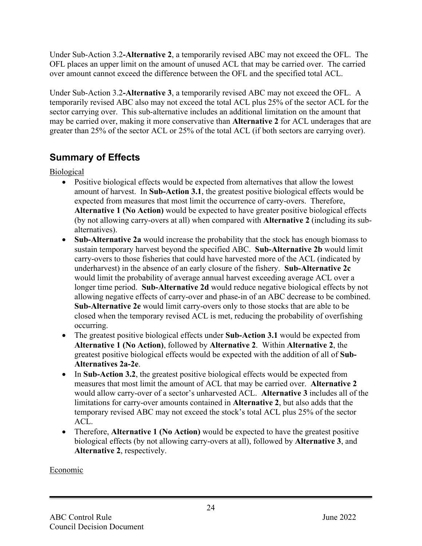Under Sub-Action 3.2**-Alternative 2**, a temporarily revised ABC may not exceed the OFL. The OFL places an upper limit on the amount of unused ACL that may be carried over. The carried over amount cannot exceed the difference between the OFL and the specified total ACL.

Under Sub-Action 3.2**-Alternative 3**, a temporarily revised ABC may not exceed the OFL. A temporarily revised ABC also may not exceed the total ACL plus 25% of the sector ACL for the sector carrying over. This sub-alternative includes an additional limitation on the amount that may be carried over, making it more conservative than **Alternative 2** for ACL underages that are greater than 25% of the sector ACL or 25% of the total ACL (if both sectors are carrying over).

## **Summary of Effects**

Biological

- Positive biological effects would be expected from alternatives that allow the lowest amount of harvest. In **Sub-Action 3.1**, the greatest positive biological effects would be expected from measures that most limit the occurrence of carry-overs. Therefore, **Alternative 1 (No Action)** would be expected to have greater positive biological effects (by not allowing carry-overs at all) when compared with **Alternative 2** (including its subalternatives).
- **Sub-Alternative 2a** would increase the probability that the stock has enough biomass to sustain temporary harvest beyond the specified ABC. **Sub-Alternative 2b** would limit carry-overs to those fisheries that could have harvested more of the ACL (indicated by underharvest) in the absence of an early closure of the fishery. **Sub-Alternative 2c** would limit the probability of average annual harvest exceeding average ACL over a longer time period. **Sub-Alternative 2d** would reduce negative biological effects by not allowing negative effects of carry-over and phase-in of an ABC decrease to be combined. **Sub-Alternative 2e** would limit carry-overs only to those stocks that are able to be closed when the temporary revised ACL is met, reducing the probability of overfishing occurring.
- The greatest positive biological effects under **Sub-Action 3.1** would be expected from **Alternative 1 (No Action)**, followed by **Alternative 2**. Within **Alternative 2**, the greatest positive biological effects would be expected with the addition of all of **Sub-Alternatives 2a-2e**.
- In Sub-Action 3.2, the greatest positive biological effects would be expected from measures that most limit the amount of ACL that may be carried over. **Alternative 2**  would allow carry-over of a sector's unharvested ACL. **Alternative 3** includes all of the limitations for carry-over amounts contained in **Alternative 2**, but also adds that the temporary revised ABC may not exceed the stock's total ACL plus 25% of the sector ACL.
- Therefore, **Alternative 1 (No Action)** would be expected to have the greatest positive biological effects (by not allowing carry-overs at all), followed by **Alternative 3**, and **Alternative 2**, respectively.

### Economic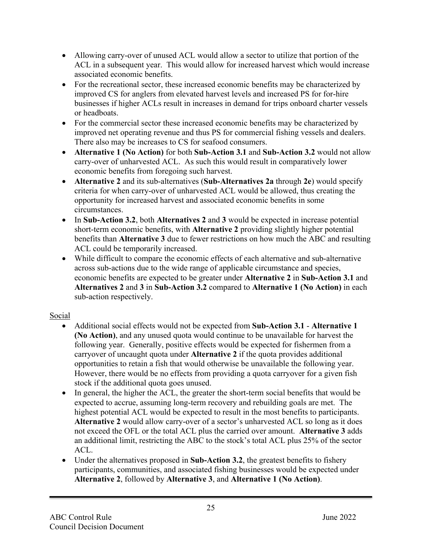- Allowing carry-over of unused ACL would allow a sector to utilize that portion of the ACL in a subsequent year. This would allow for increased harvest which would increase associated economic benefits.
- For the recreational sector, these increased economic benefits may be characterized by improved CS for anglers from elevated harvest levels and increased PS for for-hire businesses if higher ACLs result in increases in demand for trips onboard charter vessels or headboats.
- For the commercial sector these increased economic benefits may be characterized by improved net operating revenue and thus PS for commercial fishing vessels and dealers. There also may be increases to CS for seafood consumers.
- **Alternative 1 (No Action)** for both **Sub-Action 3.1** and **Sub-Action 3.2** would not allow carry-over of unharvested ACL. As such this would result in comparatively lower economic benefits from foregoing such harvest.
- **Alternative 2** and its sub-alternatives (**Sub-Alternatives 2a** through **2e**) would specify criteria for when carry-over of unharvested ACL would be allowed, thus creating the opportunity for increased harvest and associated economic benefits in some circumstances.
- In **Sub-Action 3.2**, both **Alternatives 2** and **3** would be expected in increase potential short-term economic benefits, with **Alternative 2** providing slightly higher potential benefits than **Alternative 3** due to fewer restrictions on how much the ABC and resulting ACL could be temporarily increased.
- While difficult to compare the economic effects of each alternative and sub-alternative across sub-actions due to the wide range of applicable circumstance and species, economic benefits are expected to be greater under **Alternative 2** in **Sub-Action 3.1** and **Alternatives 2** and **3** in **Sub-Action 3.2** compared to **Alternative 1 (No Action)** in each sub-action respectively.

#### Social

- Additional social effects would not be expected from **Sub-Action 3.1 Alternative 1 (No Action)**, and any unused quota would continue to be unavailable for harvest the following year. Generally, positive effects would be expected for fishermen from a carryover of uncaught quota under **Alternative 2** if the quota provides additional opportunities to retain a fish that would otherwise be unavailable the following year. However, there would be no effects from providing a quota carryover for a given fish stock if the additional quota goes unused.
- In general, the higher the ACL, the greater the short-term social benefits that would be expected to accrue, assuming long-term recovery and rebuilding goals are met. The highest potential ACL would be expected to result in the most benefits to participants. **Alternative 2** would allow carry-over of a sector's unharvested ACL so long as it does not exceed the OFL or the total ACL plus the carried over amount. **Alternative 3** adds an additional limit, restricting the ABC to the stock's total ACL plus 25% of the sector ACL.
- Under the alternatives proposed in **Sub-Action 3.2**, the greatest benefits to fishery participants, communities, and associated fishing businesses would be expected under **Alternative 2**, followed by **Alternative 3**, and **Alternative 1 (No Action)**.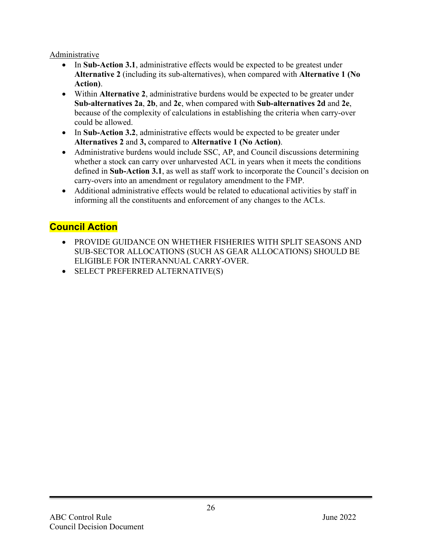#### Administrative

- In Sub-Action 3.1, administrative effects would be expected to be greatest under **Alternative 2** (including its sub-alternatives), when compared with **Alternative 1 (No Action)**.
- Within **Alternative 2**, administrative burdens would be expected to be greater under **Sub-alternatives 2a**, **2b**, and **2c**, when compared with **Sub-alternatives 2d** and **2e**, because of the complexity of calculations in establishing the criteria when carry-over could be allowed.
- In **Sub-Action 3.2**, administrative effects would be expected to be greater under **Alternatives 2** and **3,** compared to **Alternative 1 (No Action)**.
- Administrative burdens would include SSC, AP, and Council discussions determining whether a stock can carry over unharvested ACL in years when it meets the conditions defined in **Sub-Action 3.1**, as well as staff work to incorporate the Council's decision on carry-overs into an amendment or regulatory amendment to the FMP.
- Additional administrative effects would be related to educational activities by staff in informing all the constituents and enforcement of any changes to the ACLs.

## **Council Action**

- PROVIDE GUIDANCE ON WHETHER FISHERIES WITH SPLIT SEASONS AND SUB-SECTOR ALLOCATIONS (SUCH AS GEAR ALLOCATIONS) SHOULD BE ELIGIBLE FOR INTERANNUAL CARRY-OVER.
- SELECT PREFERRED ALTERNATIVE(S)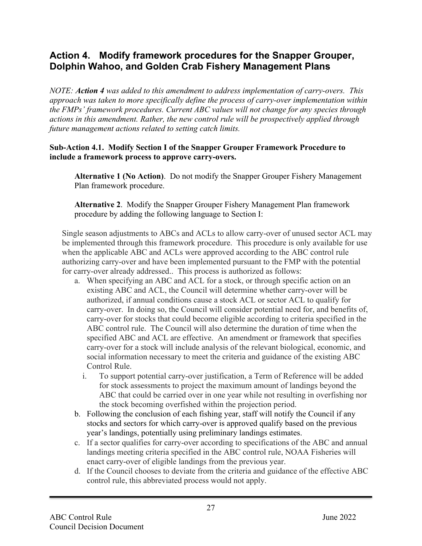## **Action 4. Modify framework procedures for the Snapper Grouper, Dolphin Wahoo, and Golden Crab Fishery Management Plans**

*NOTE: Action 4 was added to this amendment to address implementation of carry-overs. This approach was taken to more specifically define the process of carry-over implementation within the FMPs' framework procedures. Current ABC values will not change for any species through actions in this amendment. Rather, the new control rule will be prospectively applied through future management actions related to setting catch limits.* 

#### **Sub-Action 4.1. Modify Section I of the Snapper Grouper Framework Procedure to include a framework process to approve carry-overs.**

**Alternative 1 (No Action)**. Do not modify the Snapper Grouper Fishery Management Plan framework procedure.

**Alternative 2**. Modify the Snapper Grouper Fishery Management Plan framework procedure by adding the following language to Section I:

Single season adjustments to ABCs and ACLs to allow carry-over of unused sector ACL may be implemented through this framework procedure. This procedure is only available for use when the applicable ABC and ACLs were approved according to the ABC control rule authorizing carry-over and have been implemented pursuant to the FMP with the potential for carry-over already addressed.. This process is authorized as follows:

- a. When specifying an ABC and ACL for a stock, or through specific action on an existing ABC and ACL, the Council will determine whether carry-over will be authorized, if annual conditions cause a stock ACL or sector ACL to qualify for carry-over. In doing so, the Council will consider potential need for, and benefits of, carry-over for stocks that could become eligible according to criteria specified in the ABC control rule. The Council will also determine the duration of time when the specified ABC and ACL are effective. An amendment or framework that specifies carry-over for a stock will include analysis of the relevant biological, economic, and social information necessary to meet the criteria and guidance of the existing ABC Control Rule.
	- i. To support potential carry-over justification, a Term of Reference will be added for stock assessments to project the maximum amount of landings beyond the ABC that could be carried over in one year while not resulting in overfishing nor the stock becoming overfished within the projection period.
- b. Following the conclusion of each fishing year, staff will notify the Council if any stocks and sectors for which carry-over is approved qualify based on the previous year's landings, potentially using preliminary landings estimates.
- c. If a sector qualifies for carry-over according to specifications of the ABC and annual landings meeting criteria specified in the ABC control rule, NOAA Fisheries will enact carry-over of eligible landings from the previous year.
- d. If the Council chooses to deviate from the criteria and guidance of the effective ABC control rule, this abbreviated process would not apply.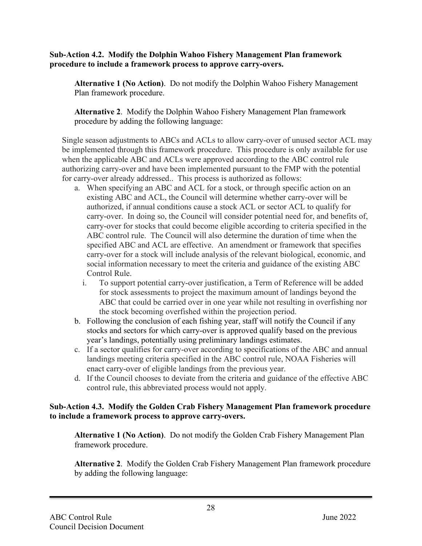#### **Sub-Action 4.2. Modify the Dolphin Wahoo Fishery Management Plan framework procedure to include a framework process to approve carry-overs.**

**Alternative 1 (No Action)**. Do not modify the Dolphin Wahoo Fishery Management Plan framework procedure.

**Alternative 2**. Modify the Dolphin Wahoo Fishery Management Plan framework procedure by adding the following language:

Single season adjustments to ABCs and ACLs to allow carry-over of unused sector ACL may be implemented through this framework procedure. This procedure is only available for use when the applicable ABC and ACLs were approved according to the ABC control rule authorizing carry-over and have been implemented pursuant to the FMP with the potential for carry-over already addressed.. This process is authorized as follows:

- a. When specifying an ABC and ACL for a stock, or through specific action on an existing ABC and ACL, the Council will determine whether carry-over will be authorized, if annual conditions cause a stock ACL or sector ACL to qualify for carry-over. In doing so, the Council will consider potential need for, and benefits of, carry-over for stocks that could become eligible according to criteria specified in the ABC control rule. The Council will also determine the duration of time when the specified ABC and ACL are effective. An amendment or framework that specifies carry-over for a stock will include analysis of the relevant biological, economic, and social information necessary to meet the criteria and guidance of the existing ABC Control Rule.
	- i. To support potential carry-over justification, a Term of Reference will be added for stock assessments to project the maximum amount of landings beyond the ABC that could be carried over in one year while not resulting in overfishing nor the stock becoming overfished within the projection period.
- b. Following the conclusion of each fishing year, staff will notify the Council if any stocks and sectors for which carry-over is approved qualify based on the previous year's landings, potentially using preliminary landings estimates.
- c. If a sector qualifies for carry-over according to specifications of the ABC and annual landings meeting criteria specified in the ABC control rule, NOAA Fisheries will enact carry-over of eligible landings from the previous year.
- d. If the Council chooses to deviate from the criteria and guidance of the effective ABC control rule, this abbreviated process would not apply.

#### **Sub-Action 4.3. Modify the Golden Crab Fishery Management Plan framework procedure to include a framework process to approve carry-overs.**

**Alternative 1 (No Action)**. Do not modify the Golden Crab Fishery Management Plan framework procedure.

**Alternative 2**. Modify the Golden Crab Fishery Management Plan framework procedure by adding the following language: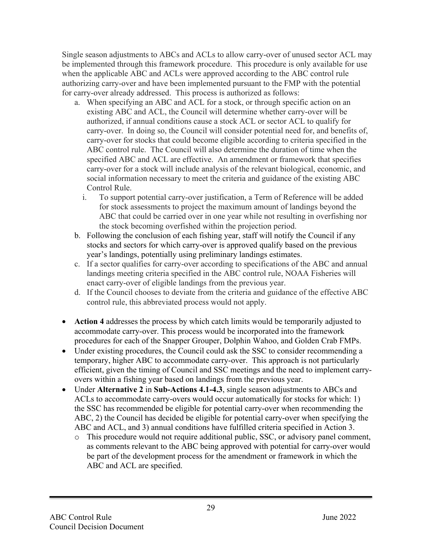Single season adjustments to ABCs and ACLs to allow carry-over of unused sector ACL may be implemented through this framework procedure. This procedure is only available for use when the applicable ABC and ACLs were approved according to the ABC control rule authorizing carry-over and have been implemented pursuant to the FMP with the potential for carry-over already addressed. This process is authorized as follows:

- a. When specifying an ABC and ACL for a stock, or through specific action on an existing ABC and ACL, the Council will determine whether carry-over will be authorized, if annual conditions cause a stock ACL or sector ACL to qualify for carry-over. In doing so, the Council will consider potential need for, and benefits of, carry-over for stocks that could become eligible according to criteria specified in the ABC control rule. The Council will also determine the duration of time when the specified ABC and ACL are effective. An amendment or framework that specifies carry-over for a stock will include analysis of the relevant biological, economic, and social information necessary to meet the criteria and guidance of the existing ABC Control Rule.
	- i. To support potential carry-over justification, a Term of Reference will be added for stock assessments to project the maximum amount of landings beyond the ABC that could be carried over in one year while not resulting in overfishing nor the stock becoming overfished within the projection period.
- b. Following the conclusion of each fishing year, staff will notify the Council if any stocks and sectors for which carry-over is approved qualify based on the previous year's landings, potentially using preliminary landings estimates.
- c. If a sector qualifies for carry-over according to specifications of the ABC and annual landings meeting criteria specified in the ABC control rule, NOAA Fisheries will enact carry-over of eligible landings from the previous year.
- d. If the Council chooses to deviate from the criteria and guidance of the effective ABC control rule, this abbreviated process would not apply.
- **Action 4** addresses the process by which catch limits would be temporarily adjusted to accommodate carry-over. This process would be incorporated into the framework procedures for each of the Snapper Grouper, Dolphin Wahoo, and Golden Crab FMPs.
- Under existing procedures, the Council could ask the SSC to consider recommending a temporary, higher ABC to accommodate carry-over. This approach is not particularly efficient, given the timing of Council and SSC meetings and the need to implement carryovers within a fishing year based on landings from the previous year.
- Under **Alternative 2** in **Sub-Actions 4.1-4.3**, single season adjustments to ABCs and ACLs to accommodate carry-overs would occur automatically for stocks for which: 1) the SSC has recommended be eligible for potential carry-over when recommending the ABC, 2) the Council has decided be eligible for potential carry-over when specifying the ABC and ACL, and 3) annual conditions have fulfilled criteria specified in Action 3.
	- o This procedure would not require additional public, SSC, or advisory panel comment, as comments relevant to the ABC being approved with potential for carry-over would be part of the development process for the amendment or framework in which the ABC and ACL are specified.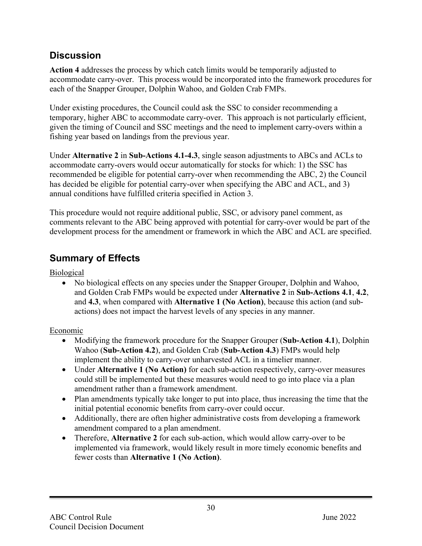## **Discussion**

**Action 4** addresses the process by which catch limits would be temporarily adjusted to accommodate carry-over. This process would be incorporated into the framework procedures for each of the Snapper Grouper, Dolphin Wahoo, and Golden Crab FMPs.

Under existing procedures, the Council could ask the SSC to consider recommending a temporary, higher ABC to accommodate carry-over. This approach is not particularly efficient, given the timing of Council and SSC meetings and the need to implement carry-overs within a fishing year based on landings from the previous year.

Under **Alternative 2** in **Sub-Actions 4.1-4.3**, single season adjustments to ABCs and ACLs to accommodate carry-overs would occur automatically for stocks for which: 1) the SSC has recommended be eligible for potential carry-over when recommending the ABC, 2) the Council has decided be eligible for potential carry-over when specifying the ABC and ACL, and 3) annual conditions have fulfilled criteria specified in Action 3.

This procedure would not require additional public, SSC, or advisory panel comment, as comments relevant to the ABC being approved with potential for carry-over would be part of the development process for the amendment or framework in which the ABC and ACL are specified.

## **Summary of Effects**

**Biological** 

• No biological effects on any species under the Snapper Grouper, Dolphin and Wahoo, and Golden Crab FMPs would be expected under **Alternative 2** in **Sub-Actions 4.1**, **4.2**, and **4.3**, when compared with **Alternative 1 (No Action)**, because this action (and subactions) does not impact the harvest levels of any species in any manner.

### Economic

- Modifying the framework procedure for the Snapper Grouper (**Sub-Action 4.1**), Dolphin Wahoo (**Sub-Action 4.2**), and Golden Crab (**Sub-Action 4.3**) FMPs would help implement the ability to carry-over unharvested ACL in a timelier manner.
- Under **Alternative 1 (No Action)** for each sub-action respectively, carry-over measures could still be implemented but these measures would need to go into place via a plan amendment rather than a framework amendment.
- Plan amendments typically take longer to put into place, thus increasing the time that the initial potential economic benefits from carry-over could occur.
- Additionally, there are often higher administrative costs from developing a framework amendment compared to a plan amendment.
- Therefore, **Alternative 2** for each sub-action, which would allow carry-over to be implemented via framework, would likely result in more timely economic benefits and fewer costs than **Alternative 1 (No Action)**.